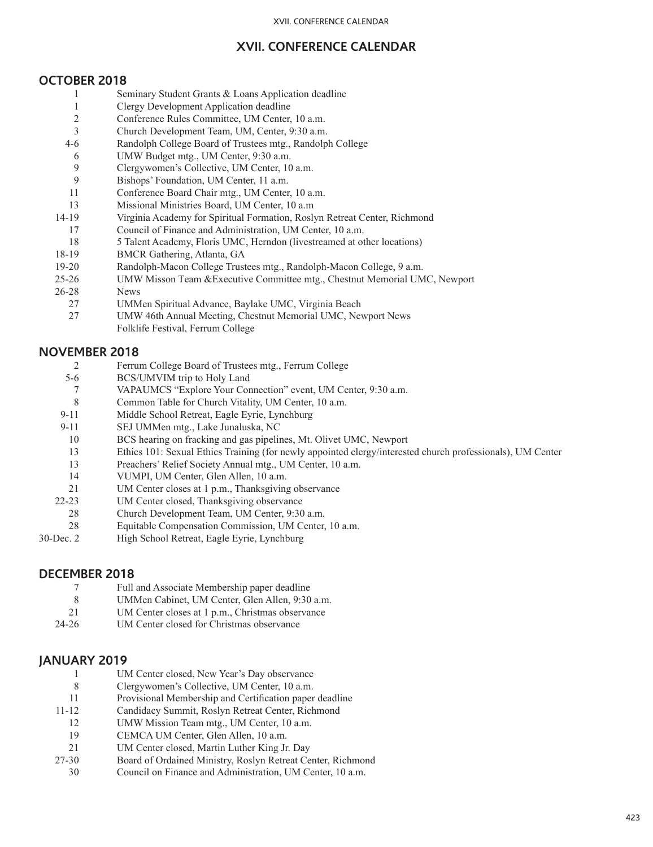## **XVII. CONFERENCE CALENDAR**

### **OCTOBER 2018**

- 1 Seminary Student Grants & Loans Application deadline
- 1 Clergy Development Application deadline
- 2 Conference Rules Committee, UM Center, 10 a.m.
- 3 Church Development Team, UM, Center, 9:30 a.m.
- 4-6 Randolph College Board of Trustees mtg., Randolph College
- 6 UMW Budget mtg., UM Center, 9:30 a.m.
- 9 Clergywomen's Collective, UM Center, 10 a.m.
- 9 Bishops' Foundation, UM Center, 11 a.m.
- 11 Conference Board Chair mtg., UM Center, 10 a.m.
- 13 Missional Ministries Board, UM Center, 10 a.m
- 14-19 Virginia Academy for Spiritual Formation, Roslyn Retreat Center, Richmond
	- 17 Council of Finance and Administration, UM Center, 10 a.m.
	- 18 5 Talent Academy, Floris UMC, Herndon (livestreamed at other locations)
- 18-19 BMCR Gathering, Atlanta, GA
- 19-20 Randolph-Macon College Trustees mtg., Randolph-Macon College, 9 a.m.
- 25-26 UMW Misson Team &Executive Committee mtg., Chestnut Memorial UMC, Newport
- 26-28 News
- 27 UMMen Spiritual Advance, Baylake UMC, Virginia Beach
- 27 UMW 46th Annual Meeting, Chestnut Memorial UMC, Newport News Folklife Festival, Ferrum College

## **NOVEMBER 2018**

- Ferrum College Board of Trustees mtg., Ferrum College
- 5-6 BCS/UMVIM trip to Holy Land
- 7 VAPAUMCS "Explore Your Connection" event, UM Center, 9:30 a.m.
- 8 Common Table for Church Vitality, UM Center, 10 a.m.<br>9-11 Middle School Retreat, Eagle Eyrie, Lynchburg
- Middle School Retreat, Eagle Eyrie, Lynchburg
- 9-11 SEJ UMMen mtg., Lake Junaluska, NC
- 10 BCS hearing on fracking and gas pipelines, Mt. Olivet UMC, Newport
- 13 Ethics 101: Sexual Ethics Training (for newly appointed clergy/interested church professionals), UM Center
- 13 Preachers' Relief Society Annual mtg., UM Center, 10 a.m.
- 14 VUMPI, UM Center, Glen Allen, 10 a.m.
- 21 UM Center closes at 1 p.m., Thanksgiving observance
- 22-23 UM Center closed, Thanksgiving observance
- 28 Church Development Team, UM Center, 9:30 a.m.
- 28 Equitable Compensation Commission, UM Center, 10 a.m.<br>
30-Dec. 2 High School Retreat. Eagle Evrie. Lynchburg
- High School Retreat, Eagle Eyrie, Lynchburg

#### **DECEMBER 2018**

- 7 Full and Associate Membership paper deadline<br>8 HMMen Cabinet HM Center Glen Allen 9:30
- 8 UMMen Cabinet, UM Center, Glen Allen, 9:30 a.m.
- 21 UM Center closes at 1 p.m., Christmas observance
- 24-26 UM Center closed for Christmas observance

## **JANUARY 2019**

- 1 UM Center closed, New Year's Day observance
- 8 Clergywomen's Collective, UM Center, 10 a.m.
- 11 Provisional Membership and Certification paper deadline
- 11-12 Candidacy Summit, Roslyn Retreat Center, Richmond
- 12 UMW Mission Team mtg., UM Center, 10 a.m.
- 19 CEMCA UM Center, Glen Allen, 10 a.m.
- 21 UM Center closed, Martin Luther King Jr. Day
- 27-30 Board of Ordained Ministry, Roslyn Retreat Center, Richmond
- 30 Council on Finance and Administration, UM Center, 10 a.m.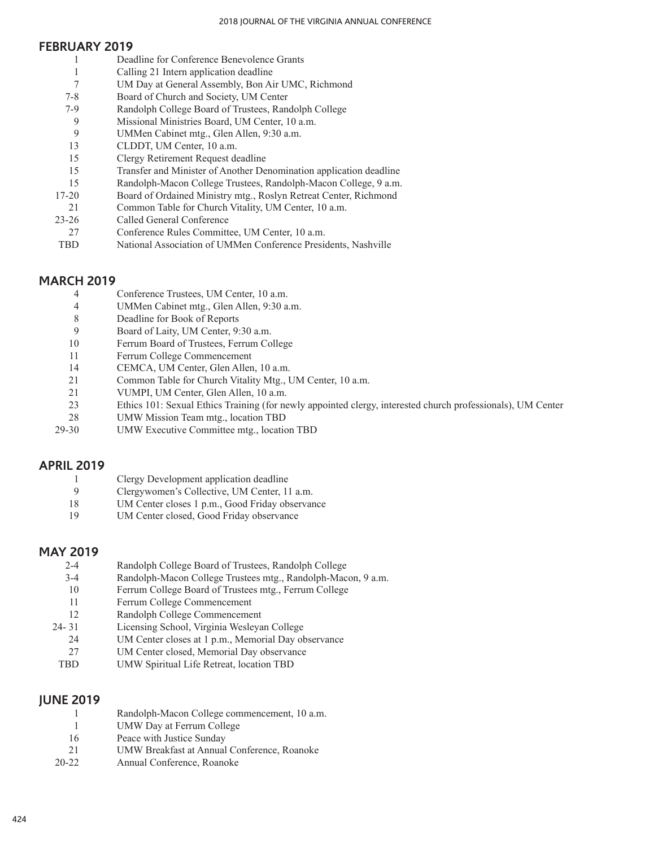#### **FEBRUARY 2019**

1 1 7 7-8 7-9 9 9 13 15 15 15 17-20 21 23-26 27 TBD Deadline for Conference Benevolence Grants Calling 21 Intern application deadline UM Day at General Assembly, Bon Air UMC, Richmond Board of Church and Society, UM Center Randolph College Board of Trustees, Randolph College Missional Ministries Board, UM Center, 10 a.m. UMMen Cabinet mtg., Glen Allen, 9:30 a.m. CLDDT, UM Center, 10 a.m. Clergy Retirement Request deadline Transfer and Minister of Another Denomination application deadline Randolph-Macon College Trustees, Randolph-Macon College, 9 a.m. Board of Ordained Ministry mtg., Roslyn Retreat Center, Richmond Common Table for Church Vitality, UM Center, 10 a.m. Called General Conference Conference Rules Committee, UM Center, 10 a.m. National Association of UMMen Conference Presidents, Nashville

#### **MARCH 2019**

- 4 Conference Trustees, UM Center, 10 a.m.
- 4 UMMen Cabinet mtg., Glen Allen, 9:30 a.m.
- 8 Deadline for Book of Reports
- 9 Board of Laity, UM Center, 9:30 a.m.
- 10 Ferrum Board of Trustees, Ferrum College
- 11 Ferrum College Commencement
- 14 CEMCA, UM Center, Glen Allen, 10 a.m.
- 21 Common Table for Church Vitality Mtg., UM Center, 10 a.m.
- 21 VUMPI, UM Center, Glen Allen, 10 a.m.
- 23 Ethics 101: Sexual Ethics Training (for newly appointed clergy, interested church professionals), UM Center
- 28 UMW Mission Team mtg., location TBD
- 29-30 UMW Executive Committee mtg., location TBD

#### **APRIL 2019**

- 1 Clergy Development application deadline
- 9 Clergywomen's Collective, UM Center, 11 a.m.
- 18 UM Center closes 1 p.m., Good Friday observance
- 19 UM Center closed, Good Friday observance

#### **MAY 2019**

- 2-4 3-4 10 11 12 24- 31 24 27 Randolph College Board of Trustees, Randolph College Randolph-Macon College Trustees mtg., Randolph-Macon, 9 a.m. Ferrum College Board of Trustees mtg., Ferrum College Ferrum College Commencement Randolph College Commencement Licensing School, Virginia Wesleyan College UM Center closes at 1 p.m., Memorial Day observance UM Center closed, Memorial Day observance
- TBD UMW Spiritual Life Retreat, location TBD

## **JUNE 2019**

|           | Randolph-Macon College commencement, 10 a.m. |
|-----------|----------------------------------------------|
|           | UMW Day at Ferrum College                    |
| 16        | Peace with Justice Sunday                    |
| 21        | UMW Breakfast at Annual Conference, Roanoke  |
| $20 - 22$ | Annual Conference, Roanoke                   |